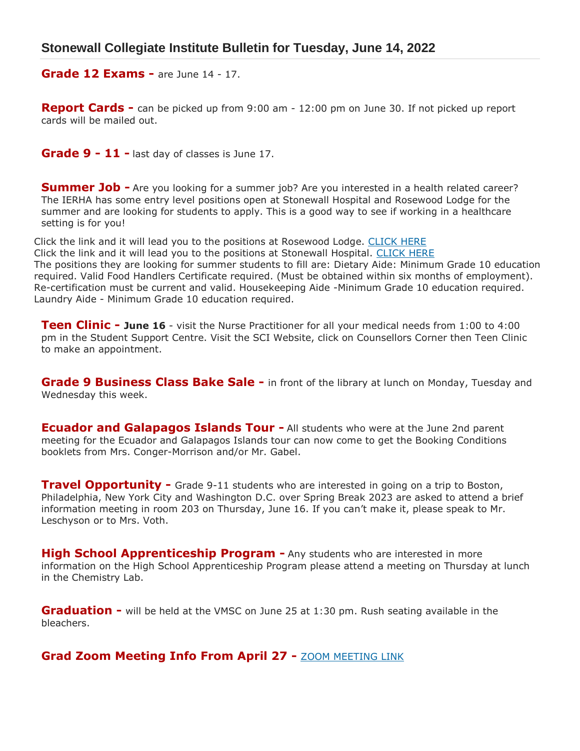**Grade 12 Exams -** are June 14 - 17.

**Report Cards -** can be picked up from 9:00 am - 12:00 pm on June 30. If not picked up report cards will be mailed out.

**Grade 9 - 11 -** last day of classes is June 17.

**Summer Job -** Are you looking for a summer job? Are you interested in a health related career? The IERHA has some entry level positions open at Stonewall Hospital and Rosewood Lodge for the summer and are looking for students to apply. This is a good way to see if working in a healthcare setting is for you!

Click the link and it will lead you to the positions at Rosewood Lodge. [CLICK HERE](https://selfservice.ierha.ca/QSS/applicant/JobSearch.aspx) Click the link and it will lead you to the positions at Stonewall Hospital. [CLICK HERE](https://selfservice.ierha.ca/QSS/applicant/JobSearch.aspx) The positions they are looking for summer students to fill are: Dietary Aide: Minimum Grade 10 education required. Valid Food Handlers Certificate required. (Must be obtained within six months of employment). Re-certification must be current and valid. Housekeeping Aide -Minimum Grade 10 education required. Laundry Aide - Minimum Grade 10 education required.

**Teen Clinic - June 16** - visit the Nurse Practitioner for all your medical needs from 1:00 to 4:00 pm in the Student Support Centre. Visit the SCI Website, click on Counsellors Corner then Teen Clinic to make an appointment.

**Grade 9 Business Class Bake Sale -** in front of the library at lunch on Monday, Tuesday and Wednesday this week.

**Ecuador and Galapagos Islands Tour - All students who were at the June 2nd parent** meeting for the Ecuador and Galapagos Islands tour can now come to get the Booking Conditions booklets from Mrs. Conger-Morrison and/or Mr. Gabel.

**Travel Opportunity -** Grade 9-11 students who are interested in going on a trip to Boston, Philadelphia, New York City and Washington D.C. over Spring Break 2023 are asked to attend a brief information meeting in room 203 on Thursday, June 16. If you can't make it, please speak to Mr. Leschyson or to Mrs. Voth.

**High School Apprenticeship Program -** Any students who are interested in more information on the High School Apprenticeship Program please attend a meeting on Thursday at lunch in the Chemistry Lab.

**Graduation -** will be held at the VMSC on June 25 at 1:30 pm. Rush seating available in the bleachers.

**Grad Zoom Meeting Info From April 27 - [ZOOM MEETING LINK](http://sci.interlakesd.ca/wp-content/uploads/sites/3/2022/04/STONEWALL-COLLEGIATE-GRADUATION-2022-INFO-FROM-ZOOM-MEETING-APRIL-27.pdf)**